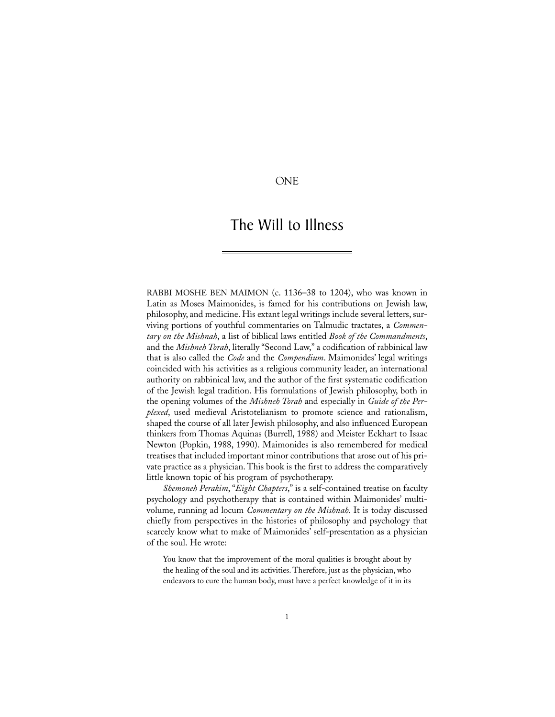## ONE

# The Will to Illness

RABBI MOSHE BEN MAIMON (c. 1136–38 to 1204), who was known in Latin as Moses Maimonides, is famed for his contributions on Jewish law, philosophy, and medicine. His extant legal writings include several letters, surviving portions of youthful commentaries on Talmudic tractates, a *Commentary on the Mishnah*, a list of biblical laws entitled *Book of the Commandments*, and the *Mishneh Torah*, literally "Second Law," a codification of rabbinical law that is also called the *Code* and the *Compendium*. Maimonides' legal writings coincided with his activities as a religious community leader, an international authority on rabbinical law, and the author of the first systematic codification of the Jewish legal tradition. His formulations of Jewish philosophy, both in the opening volumes of the *Mishneh Torah* and especially in *Guide of the Perplexed*, used medieval Aristotelianism to promote science and rationalism, shaped the course of all later Jewish philosophy, and also influenced European thinkers from Thomas Aquinas (Burrell, 1988) and Meister Eckhart to Isaac Newton (Popkin, 1988, 1990). Maimonides is also remembered for medical treatises that included important minor contributions that arose out of his private practice as a physician. This book is the first to address the comparatively little known topic of his program of psychotherapy.

*Shemoneh Perakim*, "*Eight Chapters*," is a self-contained treatise on faculty psychology and psychotherapy that is contained within Maimonides' multivolume, running ad locum *Commentary on the Mishnah*. It is today discussed chiefly from perspectives in the histories of philosophy and psychology that scarcely know what to make of Maimonides' self-presentation as a physician of the soul. He wrote:

You know that the improvement of the moral qualities is brought about by the healing of the soul and its activities. Therefore, just as the physician, who endeavors to cure the human body, must have a perfect knowledge of it in its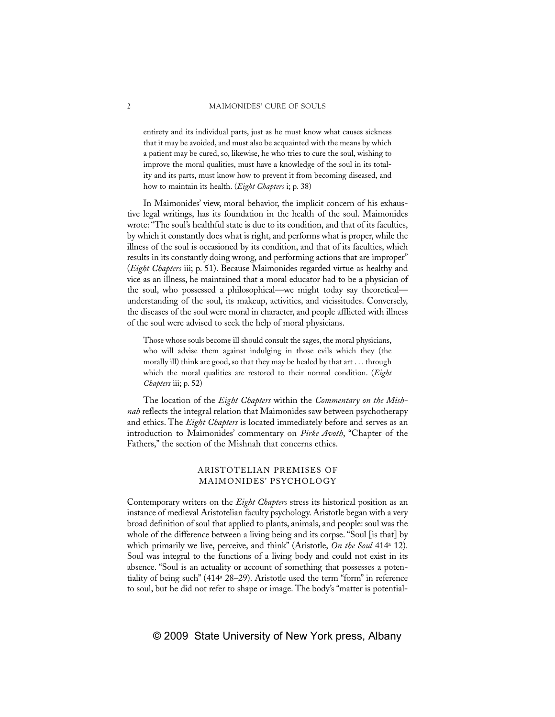entirety and its individual parts, just as he must know what causes sickness that it may be avoided, and must also be acquainted with the means by which a patient may be cured, so, likewise, he who tries to cure the soul, wishing to improve the moral qualities, must have a knowledge of the soul in its totality and its parts, must know how to prevent it from becoming diseased, and how to maintain its health. (*Eight Chapters* i; p. 38)

In Maimonides' view, moral behavior, the implicit concern of his exhaustive legal writings, has its foundation in the health of the soul. Maimonides wrote: "The soul's healthful state is due to its condition, and that of its faculties, by which it constantly does what is right, and performs what is proper, while the illness of the soul is occasioned by its condition, and that of its faculties, which results in its constantly doing wrong, and performing actions that are improper" (*Eight Chapters* iii; p. 51). Because Maimonides regarded virtue as healthy and vice as an illness, he maintained that a moral educator had to be a physician of the soul, who possessed a philosophical—we might today say theoretical understanding of the soul, its makeup, activities, and vicissitudes. Conversely, the diseases of the soul were moral in character, and people afflicted with illness of the soul were advised to seek the help of moral physicians.

Those whose souls become ill should consult the sages, the moral physicians, who will advise them against indulging in those evils which they (the morally ill) think are good, so that they may be healed by that art . . . through which the moral qualities are restored to their normal condition. (*Eight Chapters* iii; p. 52)

The location of the *Eight Chapters* within the *Commentary on the Mishnah* reflects the integral relation that Maimonides saw between psychotherapy and ethics. The *Eight Chapters* is located immediately before and serves as an introduction to Maimonides' commentary on *Pirke Avoth*, "Chapter of the Fathers," the section of the Mishnah that concerns ethics.

## ARISTOTELIAN PREMISES OF MAIMONIDES' PSYCHOLOGY

Contemporary writers on the *Eight Chapters* stress its historical position as an instance of medieval Aristotelian faculty psychology. Aristotle began with a very broad definition of soul that applied to plants, animals, and people: soul was the whole of the difference between a living being and its corpse. "Soul [is that] by which primarily we live, perceive, and think" (Aristotle, *On the Soul* 414a 12). Soul was integral to the functions of a living body and could not exist in its absence. "Soul is an actuality or account of something that possesses a potentiality of being such" (414a 28–29). Aristotle used the term "form" in reference to soul, but he did not refer to shape or image. The body's "matter is potential-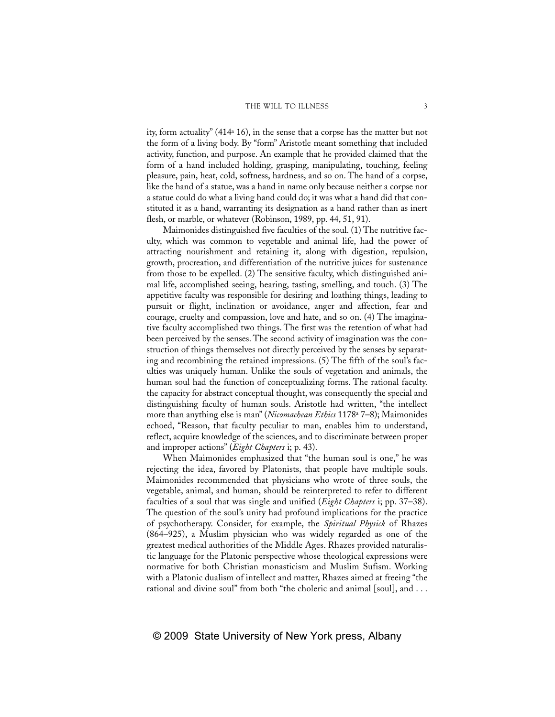ity, form actuality" (414a 16), in the sense that a corpse has the matter but not the form of a living body. By "form" Aristotle meant something that included activity, function, and purpose. An example that he provided claimed that the form of a hand included holding, grasping, manipulating, touching, feeling pleasure, pain, heat, cold, softness, hardness, and so on. The hand of a corpse, like the hand of a statue, was a hand in name only because neither a corpse nor a statue could do what a living hand could do; it was what a hand did that constituted it as a hand, warranting its designation as a hand rather than as inert flesh, or marble, or whatever (Robinson, 1989, pp. 44, 51, 91).

Maimonides distinguished five faculties of the soul. (1) The nutritive faculty, which was common to vegetable and animal life, had the power of attracting nourishment and retaining it, along with digestion, repulsion, growth, procreation, and differentiation of the nutritive juices for sustenance from those to be expelled. (2) The sensitive faculty, which distinguished animal life, accomplished seeing, hearing, tasting, smelling, and touch. (3) The appetitive faculty was responsible for desiring and loathing things, leading to pursuit or flight, inclination or avoidance, anger and affection, fear and courage, cruelty and compassion, love and hate, and so on. (4) The imaginative faculty accomplished two things. The first was the retention of what had been perceived by the senses. The second activity of imagination was the construction of things themselves not directly perceived by the senses by separating and recombining the retained impressions. (5) The fifth of the soul's faculties was uniquely human. Unlike the souls of vegetation and animals, the human soul had the function of conceptualizing forms. The rational faculty. the capacity for abstract conceptual thought, was consequently the special and distinguishing faculty of human souls. Aristotle had written, "the intellect more than anything else is man" (*Nicomachean Ethics* 1178a 7–8); Maimonides echoed, "Reason, that faculty peculiar to man, enables him to understand, reflect, acquire knowledge of the sciences, and to discriminate between proper and improper actions" (*Eight Chapters* i; p. 43).

When Maimonides emphasized that "the human soul is one," he was rejecting the idea, favored by Platonists, that people have multiple souls. Maimonides recommended that physicians who wrote of three souls, the vegetable, animal, and human, should be reinterpreted to refer to different faculties of a soul that was single and unified (*Eight Chapters* i; pp. 37–38). The question of the soul's unity had profound implications for the practice of psychotherapy. Consider, for example, the *Spiritual Physick* of Rhazes (864–925), a Muslim physician who was widely regarded as one of the greatest medical authorities of the Middle Ages. Rhazes provided naturalistic language for the Platonic perspective whose theological expressions were normative for both Christian monasticism and Muslim Sufism. Working with a Platonic dualism of intellect and matter, Rhazes aimed at freeing "the rational and divine soul" from both "the choleric and animal [soul], and ...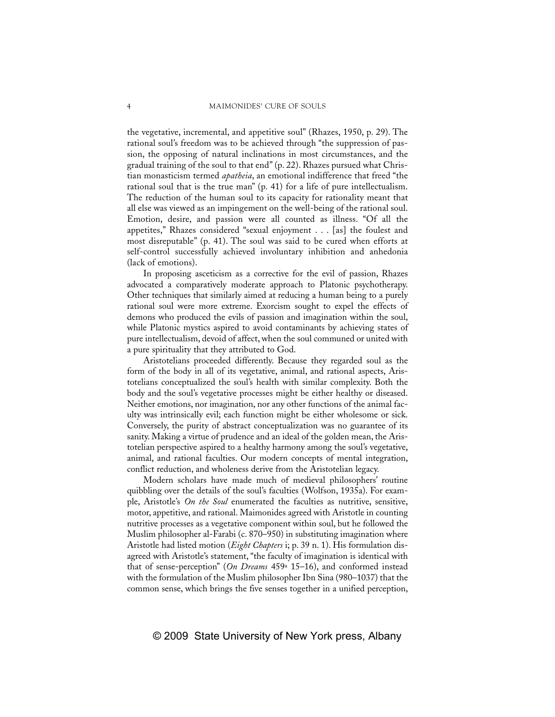the vegetative, incremental, and appetitive soul" (Rhazes, 1950, p. 29). The rational soul's freedom was to be achieved through "the suppression of passion, the opposing of natural inclinations in most circumstances, and the gradual training of the soul to that end" (p. 22). Rhazes pursued what Christian monasticism termed *apatheia*, an emotional indifference that freed "the rational soul that is the true man" (p. 41) for a life of pure intellectualism. The reduction of the human soul to its capacity for rationality meant that all else was viewed as an impingement on the well-being of the rational soul. Emotion, desire, and passion were all counted as illness. "Of all the appetites," Rhazes considered "sexual enjoyment . . . [as] the foulest and most disreputable" (p. 41). The soul was said to be cured when efforts at self-control successfully achieved involuntary inhibition and anhedonia (lack of emotions).

In proposing asceticism as a corrective for the evil of passion, Rhazes advocated a comparatively moderate approach to Platonic psychotherapy. Other techniques that similarly aimed at reducing a human being to a purely rational soul were more extreme. Exorcism sought to expel the effects of demons who produced the evils of passion and imagination within the soul, while Platonic mystics aspired to avoid contaminants by achieving states of pure intellectualism, devoid of affect, when the soul communed or united with a pure spirituality that they attributed to God.

Aristotelians proceeded differently. Because they regarded soul as the form of the body in all of its vegetative, animal, and rational aspects, Aristotelians conceptualized the soul's health with similar complexity. Both the body and the soul's vegetative processes might be either healthy or diseased. Neither emotions, nor imagination, nor any other functions of the animal faculty was intrinsically evil; each function might be either wholesome or sick. Conversely, the purity of abstract conceptualization was no guarantee of its sanity. Making a virtue of prudence and an ideal of the golden mean, the Aristotelian perspective aspired to a healthy harmony among the soul's vegetative, animal, and rational faculties. Our modern concepts of mental integration, conflict reduction, and wholeness derive from the Aristotelian legacy.

Modern scholars have made much of medieval philosophers' routine quibbling over the details of the soul's faculties (Wolfson, 1935a). For example, Aristotle's *On the Soul* enumerated the faculties as nutritive, sensitive, motor, appetitive, and rational. Maimonides agreed with Aristotle in counting nutritive processes as a vegetative component within soul, but he followed the Muslim philosopher al-Farabi (c. 870–950) in substituting imagination where Aristotle had listed motion (*Eight Chapters* i; p. 39 n. 1). His formulation disagreed with Aristotle's statement, "the faculty of imagination is identical with that of sense-perception" (*On Dreams* 459a 15–16), and conformed instead with the formulation of the Muslim philosopher Ibn Sina (980–1037) that the common sense, which brings the five senses together in a unified perception,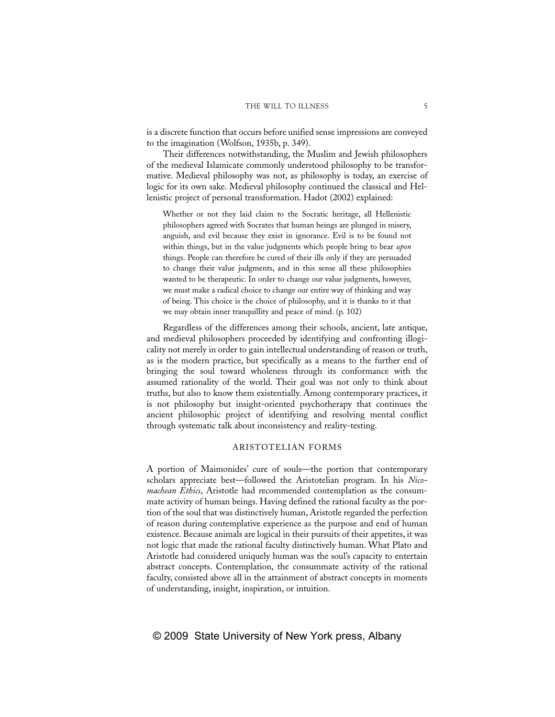is a discrete function that occurs before unified sense impressions are conveyed to the imagination (Wolfson, 1935b, p. 349).

Their differences notwithstanding, the Muslim and Jewish philosophers of the medieval Islamicate commonly understood philosophy to be transformative. Medieval philosophy was not, as philosophy is today, an exercise of logic for its own sake. Medieval philosophy continued the classical and Hellenistic project of personal transformation. Hadot (2002) explained:

Whether or not they laid claim to the Socratic heritage, all Hellenistic philosophers agreed with Socrates that human beings are plunged in misery, anguish, and evil because they exist in ignorance. Evil is to be found not within things, but in the value judgments which people bring to bear *upon* things. People can therefore be cured of their ills only if they are persuaded to change their value judgments, and in this sense all these philosophies wanted to be therapeutic. In order to change our value judgments, however, we must make a radical choice to change our entire way of thinking and way of being. This choice is the choice of philosophy, and it is thanks to it that we may obtain inner tranquillity and peace of mind. (p. 102)

Regardless of the differences among their schools, ancient, late antique, and medieval philosophers proceeded by identifying and confronting illogicality not merely in order to gain intellectual understanding of reason or truth, as is the modern practice, but specifically as a means to the further end of bringing the soul toward wholeness through its conformance with the assumed rationality of the world. Their goal was not only to think about truths, but also to know them existentially. Among contemporary practices, it is not philosophy but insight-oriented psychotherapy that continues the ancient philosophic project of identifying and resolving mental conflict through systematic talk about inconsistency and reality-testing.

#### ARISTOTELIAN FORMS

A portion of Maimonides' cure of souls—the portion that contemporary scholars appreciate best—followed the Aristotelian program. In his *Nicomachean Ethics*, Aristotle had recommended contemplation as the consummate activity of human beings. Having defined the rational faculty as the portion of the soul that was distinctively human, Aristotle regarded the perfection of reason during contemplative experience as the purpose and end of human existence. Because animals are logical in their pursuits of their appetites, it was not logic that made the rational faculty distinctively human. What Plato and Aristotle had considered uniquely human was the soul's capacity to entertain abstract concepts. Contemplation, the consummate activity of the rational faculty, consisted above all in the attainment of abstract concepts in moments of understanding, insight, inspiration, or intuition.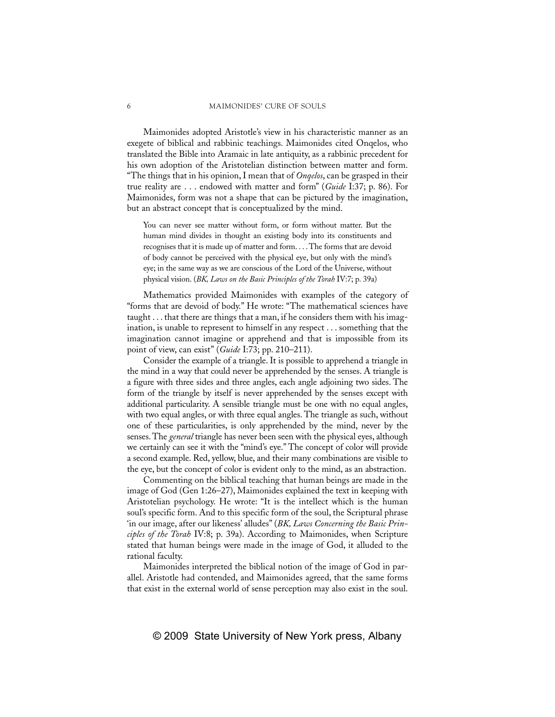Maimonides adopted Aristotle's view in his characteristic manner as an exegete of biblical and rabbinic teachings. Maimonides cited Onqelos, who translated the Bible into Aramaic in late antiquity, as a rabbinic precedent for his own adoption of the Aristotelian distinction between matter and form. "The things that in his opinion, I mean that of *Onqelos*, can be grasped in their true reality are . . . endowed with matter and form" (*Guide* I:37; p. 86). For Maimonides, form was not a shape that can be pictured by the imagination, but an abstract concept that is conceptualized by the mind.

You can never see matter without form, or form without matter. But the human mind divides in thought an existing body into its constituents and recognises that it is made up of matter and form....The forms that are devoid of body cannot be perceived with the physical eye, but only with the mind's eye; in the same way as we are conscious of the Lord of the Universe, without physical vision. (*BK, Laws on the Basic Principles of the Torah* IV:7; p. 39a)

Mathematics provided Maimonides with examples of the category of "forms that are devoid of body." He wrote: "The mathematical sciences have taught . . . that there are things that a man, if he considers them with his imagination, is unable to represent to himself in any respect . . . something that the imagination cannot imagine or apprehend and that is impossible from its point of view, can exist" (*Guide* I:73; pp. 210–211).

Consider the example of a triangle. It is possible to apprehend a triangle in the mind in a way that could never be apprehended by the senses. A triangle is a figure with three sides and three angles, each angle adjoining two sides. The form of the triangle by itself is never apprehended by the senses except with additional particularity. A sensible triangle must be one with no equal angles, with two equal angles, or with three equal angles. The triangle as such, without one of these particularities, is only apprehended by the mind, never by the senses. The *general* triangle has never been seen with the physical eyes, although we certainly can see it with the "mind's eye." The concept of color will provide a second example. Red, yellow, blue, and their many combinations are visible to the eye, but the concept of color is evident only to the mind, as an abstraction.

Commenting on the biblical teaching that human beings are made in the image of God (Gen 1:26–27), Maimonides explained the text in keeping with Aristotelian psychology. He wrote: "It is the intellect which is the human soul's specific form. And to this specific form of the soul, the Scriptural phrase 'in our image, after our likeness' alludes" (*BK, Laws Concerning the Basic Principles of the Torah* IV:8; p. 39a). According to Maimonides, when Scripture stated that human beings were made in the image of God, it alluded to the rational faculty.

Maimonides interpreted the biblical notion of the image of God in parallel. Aristotle had contended, and Maimonides agreed, that the same forms that exist in the external world of sense perception may also exist in the soul.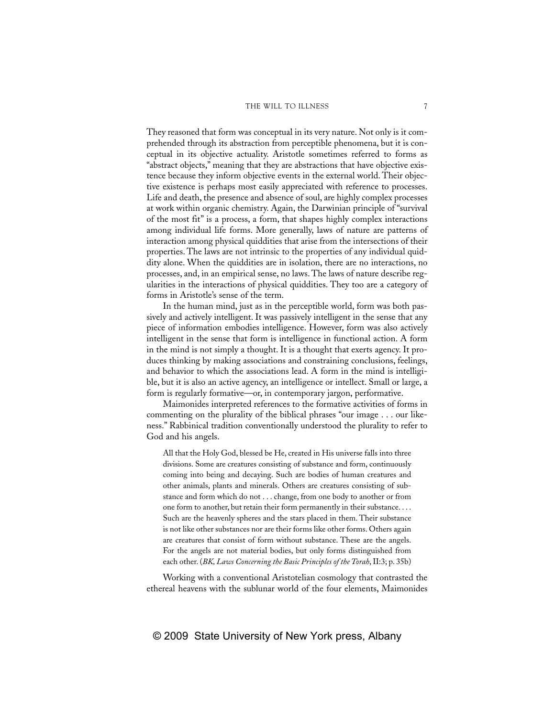They reasoned that form was conceptual in its very nature. Not only is it comprehended through its abstraction from perceptible phenomena, but it is conceptual in its objective actuality. Aristotle sometimes referred to forms as "abstract objects," meaning that they are abstractions that have objective existence because they inform objective events in the external world. Their objective existence is perhaps most easily appreciated with reference to processes. Life and death, the presence and absence of soul, are highly complex processes at work within organic chemistry. Again, the Darwinian principle of "survival of the most fit" is a process, a form, that shapes highly complex interactions among individual life forms. More generally, laws of nature are patterns of interaction among physical quiddities that arise from the intersections of their properties. The laws are not intrinsic to the properties of any individual quiddity alone. When the quiddities are in isolation, there are no interactions, no processes, and, in an empirical sense, no laws. The laws of nature describe regularities in the interactions of physical quiddities. They too are a category of forms in Aristotle's sense of the term.

In the human mind, just as in the perceptible world, form was both passively and actively intelligent. It was passively intelligent in the sense that any piece of information embodies intelligence. However, form was also actively intelligent in the sense that form is intelligence in functional action. A form in the mind is not simply a thought. It is a thought that exerts agency. It produces thinking by making associations and constraining conclusions, feelings, and behavior to which the associations lead. A form in the mind is intelligible, but it is also an active agency, an intelligence or intellect. Small or large, a form is regularly formative—or, in contemporary jargon, performative.

Maimonides interpreted references to the formative activities of forms in commenting on the plurality of the biblical phrases "our image . . . our likeness." Rabbinical tradition conventionally understood the plurality to refer to God and his angels.

All that the Holy God, blessed be He, created in His universe falls into three divisions. Some are creatures consisting of substance and form, continuously coming into being and decaying. Such are bodies of human creatures and other animals, plants and minerals. Others are creatures consisting of substance and form which do not . . . change, from one body to another or from one form to another, but retain their form permanently in their substance. . . . Such are the heavenly spheres and the stars placed in them. Their substance is not like other substances nor are their forms like other forms. Others again are creatures that consist of form without substance. These are the angels. For the angels are not material bodies, but only forms distinguished from each other. (*BK, Laws Concerning the Basic Principles of the Torah*, II:3; p. 35b)

Working with a conventional Aristotelian cosmology that contrasted the ethereal heavens with the sublunar world of the four elements, Maimonides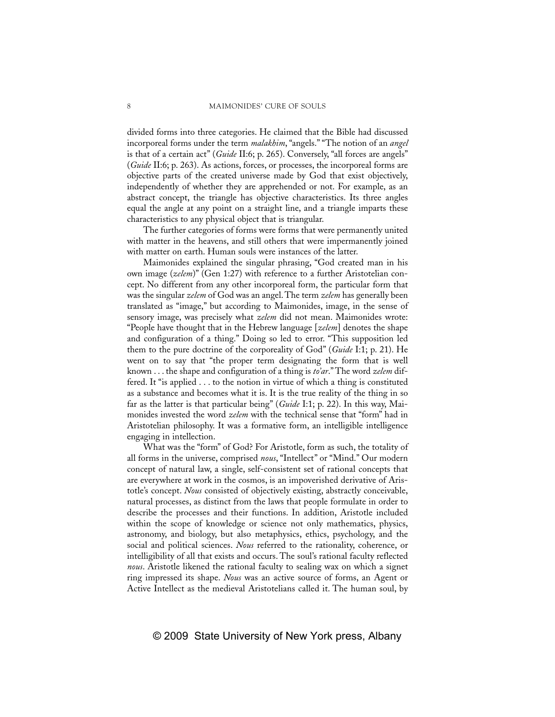divided forms into three categories. He claimed that the Bible had discussed incorporeal forms under the term *malakhim*, "angels." "The notion of an *angel* is that of a certain act" (*Guide* II:6; p. 265). Conversely, "all forces are angels" (*Guide* II:6; p. 263). As actions, forces, or processes, the incorporeal forms are objective parts of the created universe made by God that exist objectively, independently of whether they are apprehended or not. For example, as an abstract concept, the triangle has objective characteristics. Its three angles equal the angle at any point on a straight line, and a triangle imparts these characteristics to any physical object that is triangular.

The further categories of forms were forms that were permanently united with matter in the heavens, and still others that were impermanently joined with matter on earth. Human souls were instances of the latter.

Maimonides explained the singular phrasing, "God created man in his own image (*zelem*)" (Gen 1:27) with reference to a further Aristotelian concept. No different from any other incorporeal form, the particular form that was the singular *zelem* of God was an angel. The term *zelem* has generally been translated as "image," but according to Maimonides, image, in the sense of sensory image, was precisely what *zelem* did not mean. Maimonides wrote: "People have thought that in the Hebrew language [*zelem*] denotes the shape and configuration of a thing." Doing so led to error. "This supposition led them to the pure doctrine of the corporeality of God" (*Guide* I:1; p. 21). He went on to say that "the proper term designating the form that is well known . . . the shape and configuration of a thing is *to'ar*." The word *zelem* differed. It "is applied . . . to the notion in virtue of which a thing is constituted as a substance and becomes what it is. It is the true reality of the thing in so far as the latter is that particular being" (*Guide* I:1; p. 22). In this way, Maimonides invested the word *zelem* with the technical sense that "form" had in Aristotelian philosophy. It was a formative form, an intelligible intelligence engaging in intellection.

What was the "form" of God? For Aristotle, form as such, the totality of all forms in the universe, comprised *nous*, "Intellect" or "Mind." Our modern concept of natural law, a single, self-consistent set of rational concepts that are everywhere at work in the cosmos, is an impoverished derivative of Aristotle's concept. *Nous* consisted of objectively existing, abstractly conceivable, natural processes, as distinct from the laws that people formulate in order to describe the processes and their functions. In addition, Aristotle included within the scope of knowledge or science not only mathematics, physics, astronomy, and biology, but also metaphysics, ethics, psychology, and the social and political sciences. *Nous* referred to the rationality, coherence, or intelligibility of all that exists and occurs. The soul's rational faculty reflected *nous*. Aristotle likened the rational faculty to sealing wax on which a signet ring impressed its shape. *Nous* was an active source of forms, an Agent or Active Intellect as the medieval Aristotelians called it. The human soul, by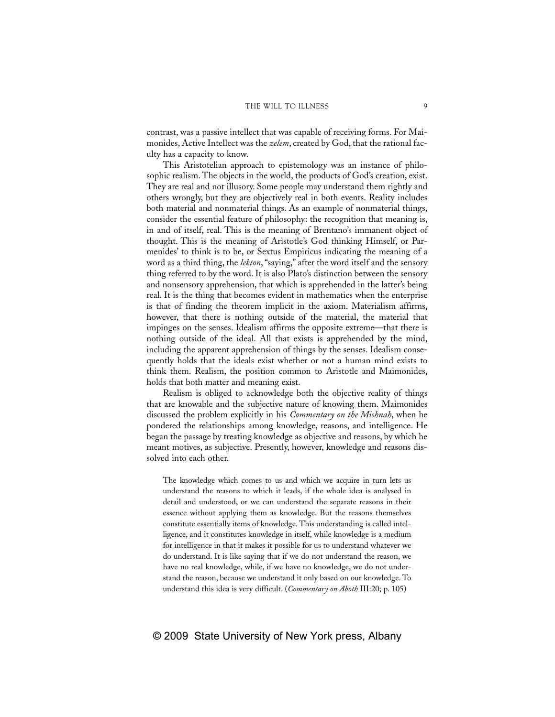contrast, was a passive intellect that was capable of receiving forms. For Maimonides, Active Intellect was the *zelem*, created by God, that the rational faculty has a capacity to know.

This Aristotelian approach to epistemology was an instance of philosophic realism. The objects in the world, the products of God's creation, exist. They are real and not illusory. Some people may understand them rightly and others wrongly, but they are objectively real in both events. Reality includes both material and nonmaterial things. As an example of nonmaterial things, consider the essential feature of philosophy: the recognition that meaning is, in and of itself, real. This is the meaning of Brentano's immanent object of thought. This is the meaning of Aristotle's God thinking Himself, or Parmenides' to think is to be, or Sextus Empiricus indicating the meaning of a word as a third thing, the *lekton*, "saying," after the word itself and the sensory thing referred to by the word. It is also Plato's distinction between the sensory and nonsensory apprehension, that which is apprehended in the latter's being real. It is the thing that becomes evident in mathematics when the enterprise is that of finding the theorem implicit in the axiom. Materialism affirms, however, that there is nothing outside of the material, the material that impinges on the senses. Idealism affirms the opposite extreme—that there is nothing outside of the ideal. All that exists is apprehended by the mind, including the apparent apprehension of things by the senses. Idealism consequently holds that the ideals exist whether or not a human mind exists to think them. Realism, the position common to Aristotle and Maimonides, holds that both matter and meaning exist.

Realism is obliged to acknowledge both the objective reality of things that are knowable and the subjective nature of knowing them. Maimonides discussed the problem explicitly in his *Commentary on the Mishnah*, when he pondered the relationships among knowledge, reasons, and intelligence. He began the passage by treating knowledge as objective and reasons, by which he meant motives, as subjective. Presently, however, knowledge and reasons dissolved into each other.

The knowledge which comes to us and which we acquire in turn lets us understand the reasons to which it leads, if the whole idea is analysed in detail and understood, or we can understand the separate reasons in their essence without applying them as knowledge. But the reasons themselves constitute essentially items of knowledge. This understanding is called intelligence, and it constitutes knowledge in itself, while knowledge is a medium for intelligence in that it makes it possible for us to understand whatever we do understand. It is like saying that if we do not understand the reason, we have no real knowledge, while, if we have no knowledge, we do not understand the reason, because we understand it only based on our knowledge. To understand this idea is very difficult. (*Commentary on Aboth* III:20; p. 105)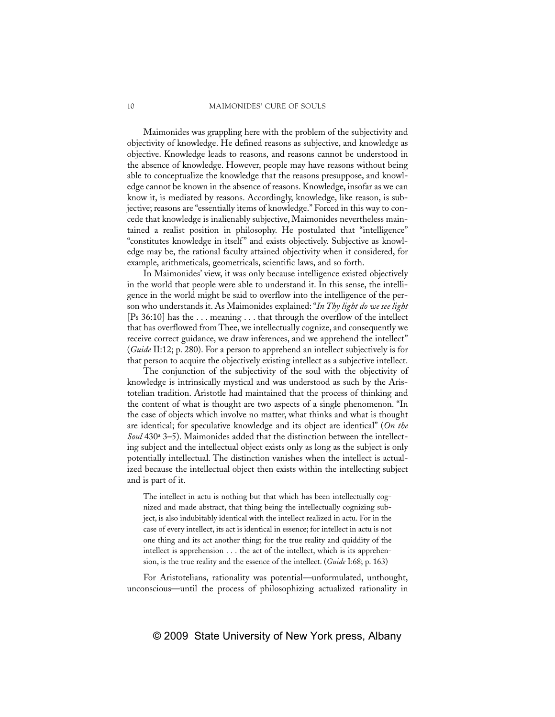Maimonides was grappling here with the problem of the subjectivity and objectivity of knowledge. He defined reasons as subjective, and knowledge as objective. Knowledge leads to reasons, and reasons cannot be understood in the absence of knowledge. However, people may have reasons without being able to conceptualize the knowledge that the reasons presuppose, and knowledge cannot be known in the absence of reasons. Knowledge, insofar as we can know it, is mediated by reasons. Accordingly, knowledge, like reason, is subjective; reasons are "essentially items of knowledge." Forced in this way to concede that knowledge is inalienably subjective, Maimonides nevertheless maintained a realist position in philosophy. He postulated that "intelligence" "constitutes knowledge in itself" and exists objectively. Subjective as knowledge may be, the rational faculty attained objectivity when it considered, for example, arithmeticals, geometricals, scientific laws, and so forth.

In Maimonides' view, it was only because intelligence existed objectively in the world that people were able to understand it. In this sense, the intelligence in the world might be said to overflow into the intelligence of the person who understands it. As Maimonides explained: "*In Thy light do we see light* [Ps 36:10] has the . . . meaning . . . that through the overflow of the intellect that has overflowed from Thee, we intellectually cognize, and consequently we receive correct guidance, we draw inferences, and we apprehend the intellect" (*Guide* II:12; p. 280). For a person to apprehend an intellect subjectively is for that person to acquire the objectively existing intellect as a subjective intellect.

The conjunction of the subjectivity of the soul with the objectivity of knowledge is intrinsically mystical and was understood as such by the Aristotelian tradition. Aristotle had maintained that the process of thinking and the content of what is thought are two aspects of a single phenomenon. "In the case of objects which involve no matter, what thinks and what is thought are identical; for speculative knowledge and its object are identical" (*On the Soul* 430a 3–5). Maimonides added that the distinction between the intellecting subject and the intellectual object exists only as long as the subject is only potentially intellectual. The distinction vanishes when the intellect is actualized because the intellectual object then exists within the intellecting subject and is part of it.

The intellect in actu is nothing but that which has been intellectually cognized and made abstract, that thing being the intellectually cognizing subject, is also indubitably identical with the intellect realized in actu. For in the case of every intellect, its act is identical in essence; for intellect in actu is not one thing and its act another thing; for the true reality and quiddity of the intellect is apprehension . . . the act of the intellect, which is its apprehension, is the true reality and the essence of the intellect. (*Guide* I:68; p. 163)

For Aristotelians, rationality was potential—unformulated, unthought, unconscious—until the process of philosophizing actualized rationality in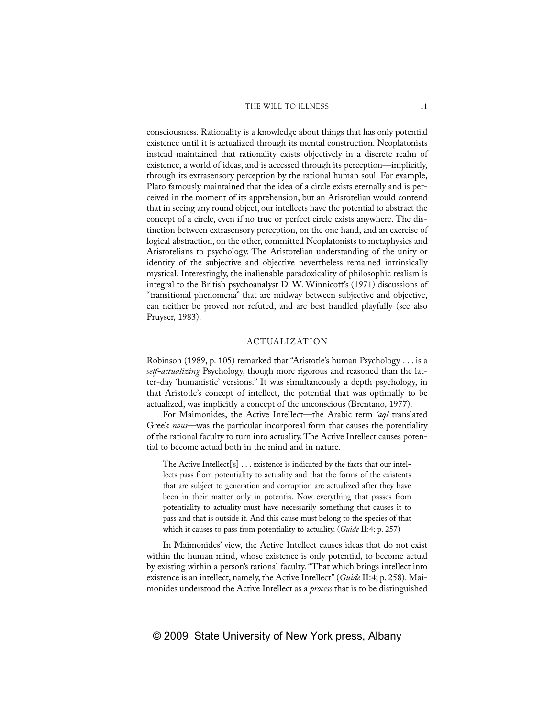consciousness. Rationality is a knowledge about things that has only potential existence until it is actualized through its mental construction. Neoplatonists instead maintained that rationality exists objectively in a discrete realm of existence, a world of ideas, and is accessed through its perception—implicitly, through its extrasensory perception by the rational human soul. For example, Plato famously maintained that the idea of a circle exists eternally and is perceived in the moment of its apprehension, but an Aristotelian would contend that in seeing any round object, our intellects have the potential to abstract the concept of a circle, even if no true or perfect circle exists anywhere. The distinction between extrasensory perception, on the one hand, and an exercise of logical abstraction, on the other, committed Neoplatonists to metaphysics and Aristotelians to psychology. The Aristotelian understanding of the unity or identity of the subjective and objective nevertheless remained intrinsically mystical. Interestingly, the inalienable paradoxicality of philosophic realism is integral to the British psychoanalyst D. W. Winnicott's (1971) discussions of "transitional phenomena" that are midway between subjective and objective, can neither be proved nor refuted, and are best handled playfully (see also Pruyser, 1983).

### ACTUALIZATION

Robinson (1989, p. 105) remarked that "Aristotle's human Psychology . . . is a *self-actualizing* Psychology, though more rigorous and reasoned than the latter-day 'humanistic' versions." It was simultaneously a depth psychology, in that Aristotle's concept of intellect, the potential that was optimally to be actualized, was implicitly a concept of the unconscious (Brentano, 1977).

For Maimonides, the Active Intellect—the Arabic term *'aql* translated Greek *nous*—was the particular incorporeal form that causes the potentiality of the rational faculty to turn into actuality. The Active Intellect causes potential to become actual both in the mind and in nature.

The Active Intellect['s] . . . existence is indicated by the facts that our intellects pass from potentiality to actuality and that the forms of the existents that are subject to generation and corruption are actualized after they have been in their matter only in potentia. Now everything that passes from potentiality to actuality must have necessarily something that causes it to pass and that is outside it. And this cause must belong to the species of that which it causes to pass from potentiality to actuality. (*Guide* II:4; p. 257)

In Maimonides' view, the Active Intellect causes ideas that do not exist within the human mind, whose existence is only potential, to become actual by existing within a person's rational faculty. "That which brings intellect into existence is an intellect, namely, the Active Intellect" (*Guide* II:4; p. 258). Maimonides understood the Active Intellect as a *process* that is to be distinguished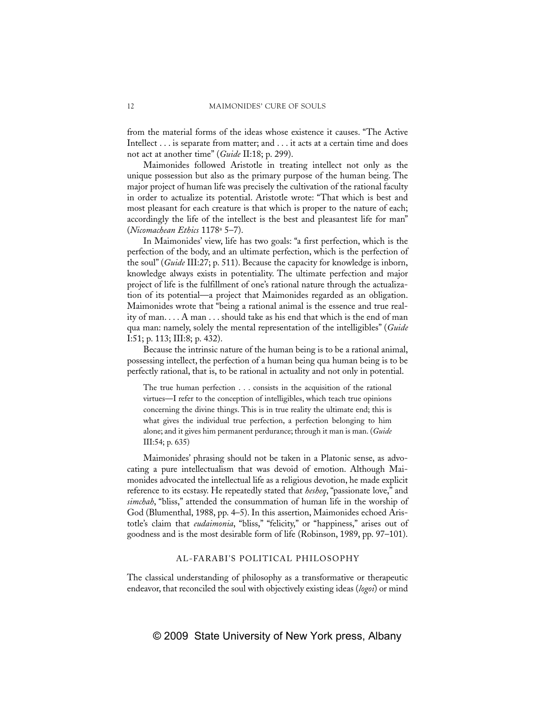from the material forms of the ideas whose existence it causes. "The Active Intellect . . . is separate from matter; and . . . it acts at a certain time and does not act at another time" (*Guide* II:18; p. 299).

Maimonides followed Aristotle in treating intellect not only as the unique possession but also as the primary purpose of the human being. The major project of human life was precisely the cultivation of the rational faculty in order to actualize its potential. Aristotle wrote: "That which is best and most pleasant for each creature is that which is proper to the nature of each; accordingly the life of the intellect is the best and pleasantest life for man" (*Nicomachean Ethics* 1178a 5–7).

In Maimonides' view, life has two goals: "a first perfection, which is the perfection of the body, and an ultimate perfection, which is the perfection of the soul" (*Guide* III:27; p. 511). Because the capacity for knowledge is inborn, knowledge always exists in potentiality. The ultimate perfection and major project of life is the fulfillment of one's rational nature through the actualization of its potential—a project that Maimonides regarded as an obligation. Maimonides wrote that "being a rational animal is the essence and true reality of man. . . . A man . . . should take as his end that which is the end of man qua man: namely, solely the mental representation of the intelligibles" (*Guide* I:51; p. 113; III:8; p. 432).

Because the intrinsic nature of the human being is to be a rational animal, possessing intellect, the perfection of a human being qua human being is to be perfectly rational, that is, to be rational in actuality and not only in potential.

The true human perfection . . . consists in the acquisition of the rational virtues—I refer to the conception of intelligibles, which teach true opinions concerning the divine things. This is in true reality the ultimate end; this is what gives the individual true perfection, a perfection belonging to him alone; and it gives him permanent perdurance; through it man is man. (*Guide* III:54; p. 635)

Maimonides' phrasing should not be taken in a Platonic sense, as advocating a pure intellectualism that was devoid of emotion. Although Maimonides advocated the intellectual life as a religious devotion, he made explicit reference to its ecstasy. He repeatedly stated that *hesheq*, "passionate love," and *simchah*, "bliss," attended the consummation of human life in the worship of God (Blumenthal, 1988, pp. 4–5). In this assertion, Maimonides echoed Aristotle's claim that *eudaimonia*, "bliss," "felicity," or "happiness," arises out of goodness and is the most desirable form of life (Robinson, 1989, pp. 97–101).

#### AL-FARABI'S POLITICAL PHILOSOPHY

The classical understanding of philosophy as a transformative or therapeutic endeavor, that reconciled the soul with objectively existing ideas (*logoi*) or mind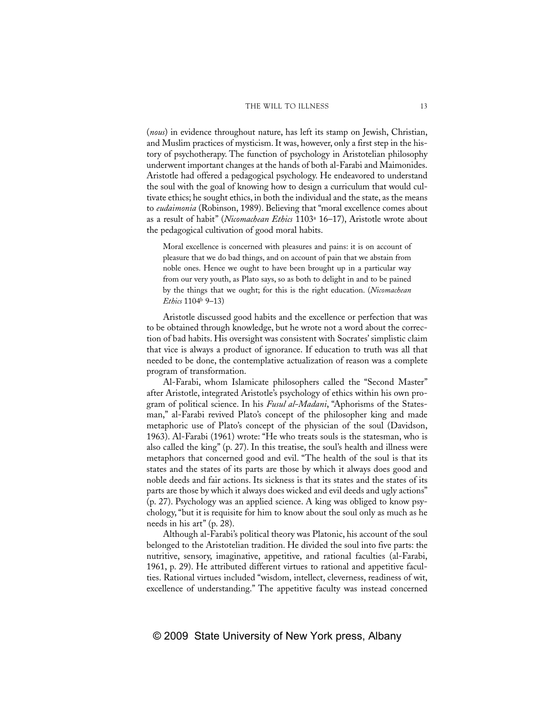(*nous*) in evidence throughout nature, has left its stamp on Jewish, Christian, and Muslim practices of mysticism. It was, however, only a first step in the history of psychotherapy. The function of psychology in Aristotelian philosophy underwent important changes at the hands of both al-Farabi and Maimonides. Aristotle had offered a pedagogical psychology. He endeavored to understand the soul with the goal of knowing how to design a curriculum that would cultivate ethics; he sought ethics, in both the individual and the state, as the means to *eudaimonia* (Robinson, 1989). Believing that "moral excellence comes about as a result of habit" (*Nicomachean Ethics* 1103a 16–17), Aristotle wrote about the pedagogical cultivation of good moral habits.

Moral excellence is concerned with pleasures and pains: it is on account of pleasure that we do bad things, and on account of pain that we abstain from noble ones. Hence we ought to have been brought up in a particular way from our very youth, as Plato says, so as both to delight in and to be pained by the things that we ought; for this is the right education. (*Nicomachean Ethics* 1104b 9–13)

Aristotle discussed good habits and the excellence or perfection that was to be obtained through knowledge, but he wrote not a word about the correction of bad habits. His oversight was consistent with Socrates' simplistic claim that vice is always a product of ignorance. If education to truth was all that needed to be done, the contemplative actualization of reason was a complete program of transformation.

Al-Farabi, whom Islamicate philosophers called the "Second Master" after Aristotle, integrated Aristotle's psychology of ethics within his own program of political science. In his *Fusul al-Madani*, "Aphorisms of the Statesman," al-Farabi revived Plato's concept of the philosopher king and made metaphoric use of Plato's concept of the physician of the soul (Davidson, 1963). Al-Farabi (1961) wrote: "He who treats souls is the statesman, who is also called the king" (p. 27). In this treatise, the soul's health and illness were metaphors that concerned good and evil. "The health of the soul is that its states and the states of its parts are those by which it always does good and noble deeds and fair actions. Its sickness is that its states and the states of its parts are those by which it always does wicked and evil deeds and ugly actions" (p. 27). Psychology was an applied science. A king was obliged to know psychology, "but it is requisite for him to know about the soul only as much as he needs in his art" (p. 28).

Although al-Farabi's political theory was Platonic, his account of the soul belonged to the Aristotelian tradition. He divided the soul into five parts: the nutritive, sensory, imaginative, appetitive, and rational faculties (al-Farabi, 1961, p. 29). He attributed different virtues to rational and appetitive faculties. Rational virtues included "wisdom, intellect, cleverness, readiness of wit, excellence of understanding." The appetitive faculty was instead concerned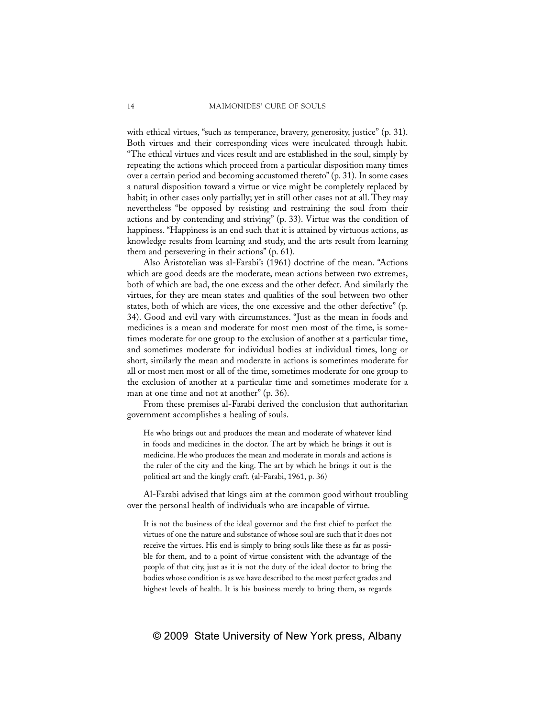with ethical virtues, "such as temperance, bravery, generosity, justice" (p. 31). Both virtues and their corresponding vices were inculcated through habit. "The ethical virtues and vices result and are established in the soul, simply by repeating the actions which proceed from a particular disposition many times over a certain period and becoming accustomed thereto" (p. 31). In some cases a natural disposition toward a virtue or vice might be completely replaced by habit; in other cases only partially; yet in still other cases not at all. They may nevertheless "be opposed by resisting and restraining the soul from their actions and by contending and striving" (p. 33). Virtue was the condition of happiness. "Happiness is an end such that it is attained by virtuous actions, as knowledge results from learning and study, and the arts result from learning them and persevering in their actions" (p. 61).

Also Aristotelian was al-Farabi's (1961) doctrine of the mean. "Actions which are good deeds are the moderate, mean actions between two extremes, both of which are bad, the one excess and the other defect. And similarly the virtues, for they are mean states and qualities of the soul between two other states, both of which are vices, the one excessive and the other defective" (p. 34). Good and evil vary with circumstances. "Just as the mean in foods and medicines is a mean and moderate for most men most of the time, is sometimes moderate for one group to the exclusion of another at a particular time, and sometimes moderate for individual bodies at individual times, long or short, similarly the mean and moderate in actions is sometimes moderate for all or most men most or all of the time, sometimes moderate for one group to the exclusion of another at a particular time and sometimes moderate for a man at one time and not at another" (p. 36).

From these premises al-Farabi derived the conclusion that authoritarian government accomplishes a healing of souls.

He who brings out and produces the mean and moderate of whatever kind in foods and medicines in the doctor. The art by which he brings it out is medicine. He who produces the mean and moderate in morals and actions is the ruler of the city and the king. The art by which he brings it out is the political art and the kingly craft. (al-Farabi, 1961, p. 36)

Al-Farabi advised that kings aim at the common good without troubling over the personal health of individuals who are incapable of virtue.

It is not the business of the ideal governor and the first chief to perfect the virtues of one the nature and substance of whose soul are such that it does not receive the virtues. His end is simply to bring souls like these as far as possible for them, and to a point of virtue consistent with the advantage of the people of that city, just as it is not the duty of the ideal doctor to bring the bodies whose condition is as we have described to the most perfect grades and highest levels of health. It is his business merely to bring them, as regards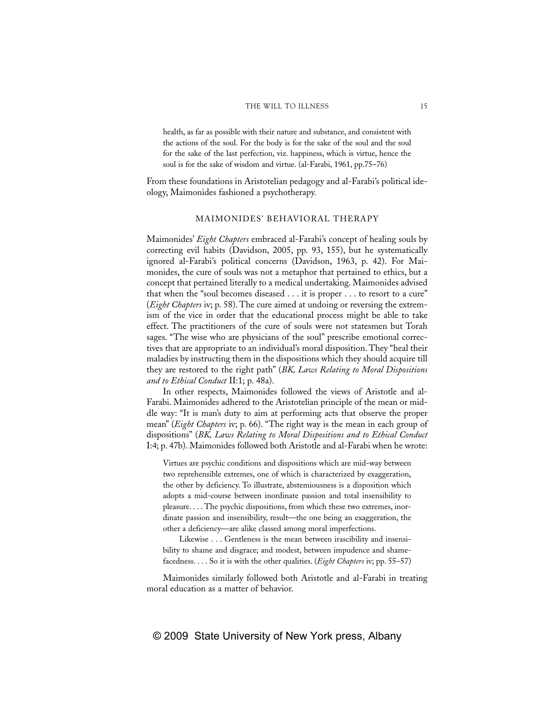health, as far as possible with their nature and substance, and consistent with the actions of the soul. For the body is for the sake of the soul and the soul for the sake of the last perfection, viz. happiness, which is virtue, hence the soul is for the sake of wisdom and virtue. (al-Farabi, 1961, pp.75–76)

From these foundations in Aristotelian pedagogy and al-Farabi's political ideology, Maimonides fashioned a psychotherapy.

### MAIMONIDES' BEHAVIORAL THERAPY

Maimonides' *Eight Chapters* embraced al-Farabi's concept of healing souls by correcting evil habits (Davidson, 2005, pp. 93, 155), but he systematically ignored al-Farabi's political concerns (Davidson, 1963, p. 42). For Maimonides, the cure of souls was not a metaphor that pertained to ethics, but a concept that pertained literally to a medical undertaking. Maimonides advised that when the "soul becomes diseased . . . it is proper . . . to resort to a cure" (*Eight Chapters* iv; p. 58). The cure aimed at undoing or reversing the extremism of the vice in order that the educational process might be able to take effect. The practitioners of the cure of souls were not statesmen but Torah sages. "The wise who are physicians of the soul" prescribe emotional correctives that are appropriate to an individual's moral disposition. They "heal their maladies by instructing them in the dispositions which they should acquire till they are restored to the right path" (*BK, Laws Relating to Moral Dispositions and to Ethical Conduct* II:1; p. 48a).

In other respects, Maimonides followed the views of Aristotle and al-Farabi. Maimonides adhered to the Aristotelian principle of the mean or middle way: "It is man's duty to aim at performing acts that observe the proper mean" (*Eight Chapters* iv; p. 66). "The right way is the mean in each group of dispositions" (*BK, Laws Relating to Moral Dispositions and to Ethical Conduct* I:4; p. 47b). Maimonides followed both Aristotle and al-Farabi when he wrote:

Virtues are psychic conditions and dispositions which are mid-way between two reprehensible extremes, one of which is characterized by exaggeration, the other by deficiency. To illustrate, abstemiousness is a disposition which adopts a mid-course between inordinate passion and total insensibility to pleasure. . . . The psychic dispositions, from which these two extremes, inordinate passion and insensibility, result—the one being an exaggeration, the other a deficiency—are alike classed among moral imperfections.

Likewise . . . Gentleness is the mean between irascibility and insensibility to shame and disgrace; and modest, between impudence and shamefacedness. . . . So it is with the other qualities. (*Eight Chapters* iv; pp. 55–57)

Maimonides similarly followed both Aristotle and al-Farabi in treating moral education as a matter of behavior.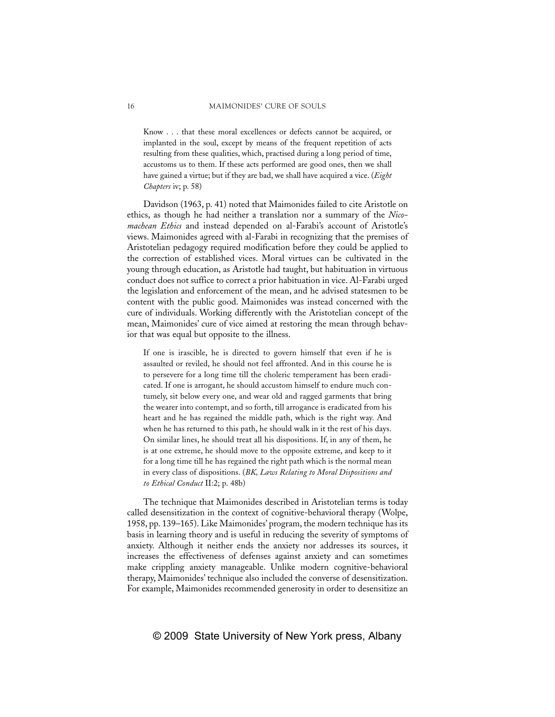Know . . . that these moral excellences or defects cannot be acquired, or implanted in the soul, except by means of the frequent repetition of acts resulting from these qualities, which, practised during a long period of time, accustoms us to them. If these acts performed are good ones, then we shall have gained a virtue; but if they are bad, we shall have acquired a vice. (*Eight Chapters* iv; p. 58)

Davidson (1963, p. 41) noted that Maimonides failed to cite Aristotle on ethics, as though he had neither a translation nor a summary of the *Nicomachean Ethics* and instead depended on al-Farabi's account of Aristotle's views. Maimonides agreed with al-Farabi in recognizing that the premises of Aristotelian pedagogy required modification before they could be applied to the correction of established vices. Moral virtues can be cultivated in the young through education, as Aristotle had taught, but habituation in virtuous conduct does not suffice to correct a prior habituation in vice. Al-Farabi urged the legislation and enforcement of the mean, and he advised statesmen to be content with the public good. Maimonides was instead concerned with the cure of individuals. Working differently with the Aristotelian concept of the mean, Maimonides' cure of vice aimed at restoring the mean through behavior that was equal but opposite to the illness.

If one is irascible, he is directed to govern himself that even if he is assaulted or reviled, he should not feel affronted. And in this course he is to persevere for a long time till the choleric temperament has been eradicated. If one is arrogant, he should accustom himself to endure much contumely, sit below every one, and wear old and ragged garments that bring the wearer into contempt, and so forth, till arrogance is eradicated from his heart and he has regained the middle path, which is the right way. And when he has returned to this path, he should walk in it the rest of his days. On similar lines, he should treat all his dispositions. If, in any of them, he is at one extreme, he should move to the opposite extreme, and keep to it for a long time till he has regained the right path which is the normal mean in every class of dispositions. (*BK, Laws Relating to Moral Dispositions and to Ethical Conduct* II:2; p. 48b)

The technique that Maimonides described in Aristotelian terms is today called desensitization in the context of cognitive-behavioral therapy (Wolpe, 1958, pp. 139–165). Like Maimonides' program, the modern technique has its basis in learning theory and is useful in reducing the severity of symptoms of anxiety. Although it neither ends the anxiety nor addresses its sources, it increases the effectiveness of defenses against anxiety and can sometimes make crippling anxiety manageable. Unlike modern cognitive-behavioral therapy, Maimonides' technique also included the converse of desensitization. For example, Maimonides recommended generosity in order to desensitize an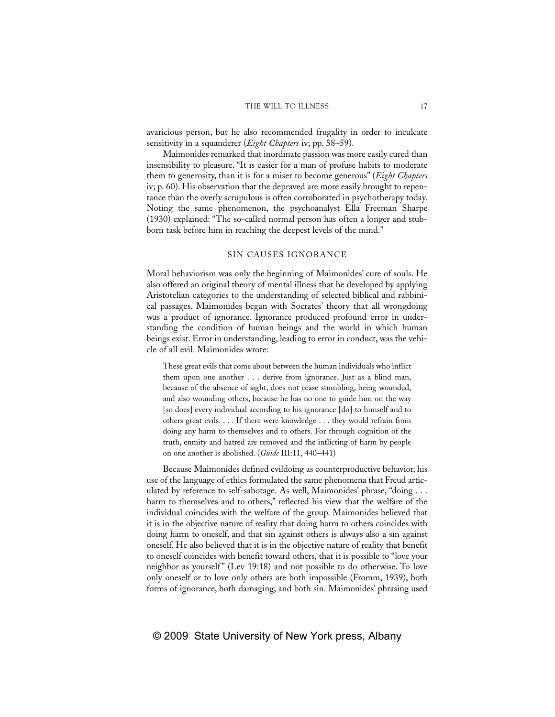avaricious person, but he also recommended frugality in order to inculcate sensitivity in a squanderer (*Eight Chapters* iv; pp. 58–59).

Maimonides remarked that inordinate passion was more easily cured than insensibility to pleasure. "It is easier for a man of profuse habits to moderate them to generosity, than it is for a miser to become generous" (*Eight Chapters* iv; p. 60). His observation that the depraved are more easily brought to repentance than the overly scrupulous is often corroborated in psychotherapy today. Noting the same phenomenon, the psychoanalyst Ella Freeman Sharpe (1930) explained: "The so-called normal person has often a longer and stubborn task before him in reaching the deepest levels of the mind."

#### SIN CAUSES IGNORANCE

Moral behaviorism was only the beginning of Maimonides' cure of souls. He also offered an original theory of mental illness that he developed by applying Aristotelian categories to the understanding of selected biblical and rabbinical passages. Maimonides began with Socrates' theory that all wrongdoing was a product of ignorance. Ignorance produced profound error in understanding the condition of human beings and the world in which human beings exist. Error in understanding, leading to error in conduct, was the vehicle of all evil. Maimonides wrote:

These great evils that come about between the human individuals who inflict them upon one another . . . derive from ignorance. Just as a blind man, because of the absence of sight, does not cease stumbling, being wounded, and also wounding others, because he has no one to guide him on the way [so does] every individual according to his ignorance [do] to himself and to others great evils. . . . If there were knowledge . . . they would refrain from doing any harm to themselves and to others. For through cognition of the truth, enmity and hatred are removed and the inflicting of harm by people on one another is abolished. (*Guide* III:11, 440–441)

Because Maimonides defined evildoing as counterproductive behavior, his use of the language of ethics formulated the same phenomena that Freud articulated by reference to self-sabotage. As well, Maimonides' phrase, "doing . . . harm to themselves and to others," reflected his view that the welfare of the individual coincides with the welfare of the group. Maimonides believed that it is in the objective nature of reality that doing harm to others coincides with doing harm to oneself, and that sin against others is always also a sin against oneself. He also believed that it is in the objective nature of reality that benefit to oneself coincides with benefit toward others, that it is possible to "love your neighbor as yourself" (Lev 19:18) and not possible to do otherwise. To love only oneself or to love only others are both impossible (Fromm, 1939), both forms of ignorance, both damaging, and both sin. Maimonides' phrasing used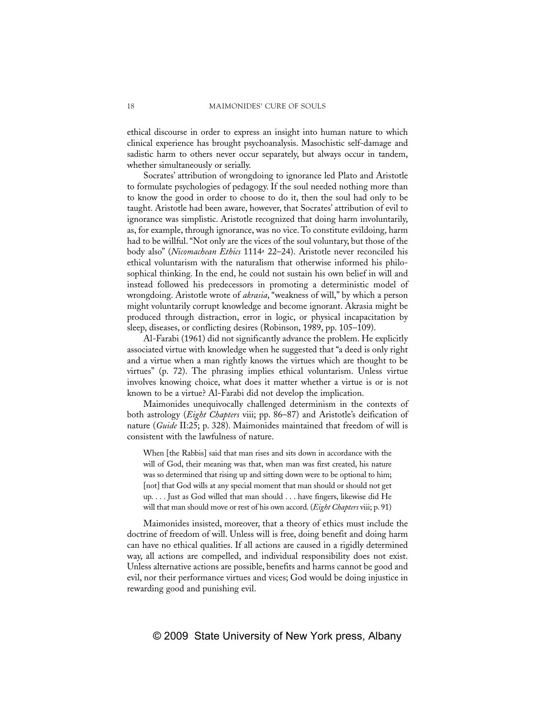ethical discourse in order to express an insight into human nature to which clinical experience has brought psychoanalysis. Masochistic self-damage and sadistic harm to others never occur separately, but always occur in tandem, whether simultaneously or serially.

Socrates' attribution of wrongdoing to ignorance led Plato and Aristotle to formulate psychologies of pedagogy. If the soul needed nothing more than to know the good in order to choose to do it, then the soul had only to be taught. Aristotle had been aware, however, that Socrates' attribution of evil to ignorance was simplistic. Aristotle recognized that doing harm involuntarily, as, for example, through ignorance, was no vice. To constitute evildoing, harm had to be willful. "Not only are the vices of the soul voluntary, but those of the body also" (*Nicomachean Ethics* 1114a 22–24). Aristotle never reconciled his ethical voluntarism with the naturalism that otherwise informed his philosophical thinking. In the end, he could not sustain his own belief in will and instead followed his predecessors in promoting a deterministic model of wrongdoing. Aristotle wrote of *akrasia*, "weakness of will," by which a person might voluntarily corrupt knowledge and become ignorant. Akrasia might be produced through distraction, error in logic, or physical incapacitation by sleep, diseases, or conflicting desires (Robinson, 1989, pp. 105–109).

Al-Farabi (1961) did not significantly advance the problem. He explicitly associated virtue with knowledge when he suggested that "a deed is only right and a virtue when a man rightly knows the virtues which are thought to be virtues" (p. 72). The phrasing implies ethical voluntarism. Unless virtue involves knowing choice, what does it matter whether a virtue is or is not known to be a virtue? Al-Farabi did not develop the implication.

Maimonides unequivocally challenged determinism in the contexts of both astrology (*Eight Chapters* viii; pp. 86–87) and Aristotle's deification of nature (*Guide* II:25; p. 328). Maimonides maintained that freedom of will is consistent with the lawfulness of nature.

When [the Rabbis] said that man rises and sits down in accordance with the will of God, their meaning was that, when man was first created, his nature was so determined that rising up and sitting down were to be optional to him; [not] that God wills at any special moment that man should or should not get up. . . . Just as God willed that man should . . . have fingers, likewise did He will that man should move or rest of his own accord. (*Eight Chapters* viii; p. 91)

Maimonides insisted, moreover, that a theory of ethics must include the doctrine of freedom of will. Unless will is free, doing benefit and doing harm can have no ethical qualities. If all actions are caused in a rigidly determined way, all actions are compelled, and individual responsibility does not exist. Unless alternative actions are possible, benefits and harms cannot be good and evil, nor their performance virtues and vices; God would be doing injustice in rewarding good and punishing evil.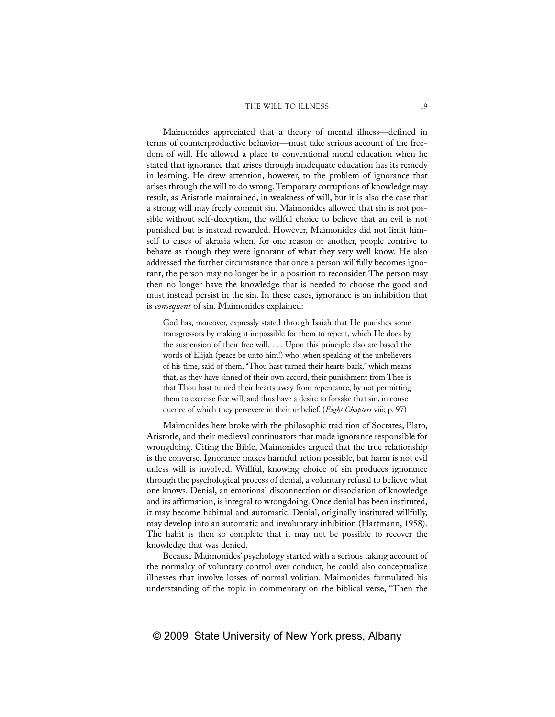#### THE WILL TO ILLNESS 19

Maimonides appreciated that a theory of mental illness—defined in terms of counterproductive behavior—must take serious account of the freedom of will. He allowed a place to conventional moral education when he stated that ignorance that arises through inadequate education has its remedy in learning. He drew attention, however, to the problem of ignorance that arises through the will to do wrong. Temporary corruptions of knowledge may result, as Aristotle maintained, in weakness of will, but it is also the case that a strong will may freely commit sin. Maimonides allowed that sin is not possible without self-deception, the willful choice to believe that an evil is not punished but is instead rewarded. However, Maimonides did not limit himself to cases of akrasia when, for one reason or another, people contrive to behave as though they were ignorant of what they very well know. He also addressed the further circumstance that once a person willfully becomes ignorant, the person may no longer be in a position to reconsider. The person may then no longer have the knowledge that is needed to choose the good and must instead persist in the sin. In these cases, ignorance is an inhibition that is *consequent* of sin. Maimonides explained:

God has, moreover, expressly stated through Isaiah that He punishes some transgressors by making it impossible for them to repent, which He does by the suspension of their free will. . . . Upon this principle also are based the words of Elijah (peace be unto him!) who, when speaking of the unbelievers of his time, said of them, "Thou hast turned their hearts back," which means that, as they have sinned of their own accord, their punishment from Thee is that Thou hast turned their hearts away from repentance, by not permitting them to exercise free will, and thus have a desire to forsake that sin, in consequence of which they persevere in their unbelief. (*Eight Chapters* viii; p. 97)

Maimonides here broke with the philosophic tradition of Socrates, Plato, Aristotle, and their medieval continuators that made ignorance responsible for wrongdoing. Citing the Bible, Maimonides argued that the true relationship is the converse. Ignorance makes harmful action possible, but harm is not evil unless will is involved. Willful, knowing choice of sin produces ignorance through the psychological process of denial, a voluntary refusal to believe what one knows. Denial, an emotional disconnection or dissociation of knowledge and its affirmation, is integral to wrongdoing. Once denial has been instituted, it may become habitual and automatic. Denial, originally instituted willfully, may develop into an automatic and involuntary inhibition (Hartmann, 1958). The habit is then so complete that it may not be possible to recover the knowledge that was denied.

Because Maimonides' psychology started with a serious taking account of the normalcy of voluntary control over conduct, he could also conceptualize illnesses that involve losses of normal volition. Maimonides formulated his understanding of the topic in commentary on the biblical verse, "Then the